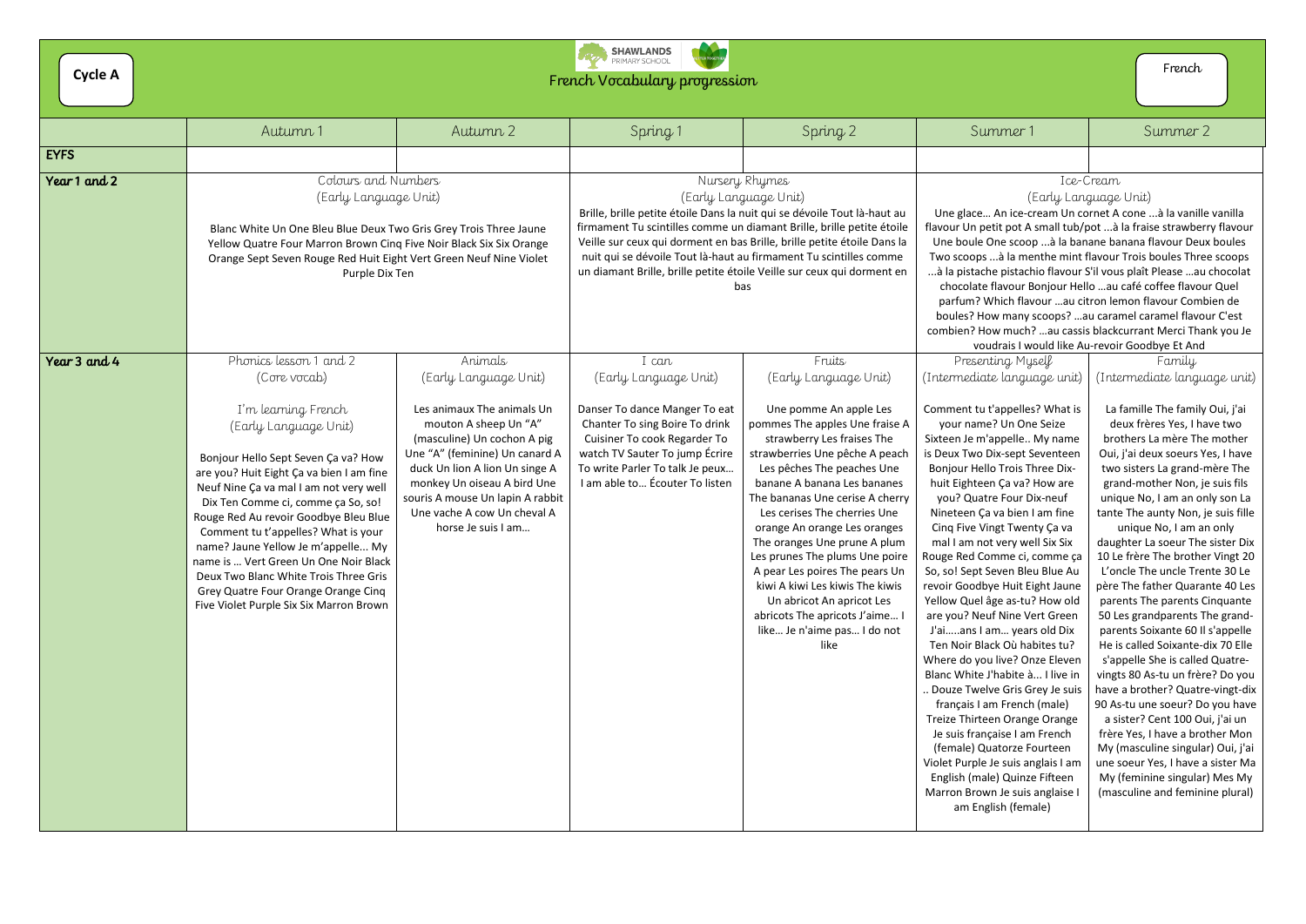# French Vocabulary progression

## Ice-Cream

An ice-cream Un cornet A cone ...à la vanille vanilla tit pot A small tub/pot ...à la fraise strawberry flavour ne scoop ...à la banane banana flavour Deux boules ..à la menthe mint flavour Trois boules Three scoops .<br>
a pistachio flavour S'il vous plaît Please …au chocolat lavour Bonjour Hello …au café coffee flavour Quel hich flavour …au citron lemon flavour Combien de w many scoops? …au caramel caramel flavour C'est w much? …au cassis blackcurrant Merci Thank you Je Irais I would like Au-revoir Goodbye Et And

|              | Autumn 1                                                                                                                                                                                                                                                                                                                                                                                                                                                                                                                                            | Autumn 2                                                                                                                                                                                                                                                                                                           | Spring 1                                                                                                                                                                                                                                                                                                                                                                                                                      | Spring 2                                                                                                                                                                                                                                                                                                                                                                                                                                                                                                                                                                 | Summer 1                                                                                                                                                                                                                                                                                                                                                                                                                                                                                                                                                                                                                                                                                                                                                                                                                                                                                                                                                                                           | Summer 2                                                                                                                                                                                                                                                                                                                                                                                                                                                                                                                                                                                                                                                                                                                                                 |
|--------------|-----------------------------------------------------------------------------------------------------------------------------------------------------------------------------------------------------------------------------------------------------------------------------------------------------------------------------------------------------------------------------------------------------------------------------------------------------------------------------------------------------------------------------------------------------|--------------------------------------------------------------------------------------------------------------------------------------------------------------------------------------------------------------------------------------------------------------------------------------------------------------------|-------------------------------------------------------------------------------------------------------------------------------------------------------------------------------------------------------------------------------------------------------------------------------------------------------------------------------------------------------------------------------------------------------------------------------|--------------------------------------------------------------------------------------------------------------------------------------------------------------------------------------------------------------------------------------------------------------------------------------------------------------------------------------------------------------------------------------------------------------------------------------------------------------------------------------------------------------------------------------------------------------------------|----------------------------------------------------------------------------------------------------------------------------------------------------------------------------------------------------------------------------------------------------------------------------------------------------------------------------------------------------------------------------------------------------------------------------------------------------------------------------------------------------------------------------------------------------------------------------------------------------------------------------------------------------------------------------------------------------------------------------------------------------------------------------------------------------------------------------------------------------------------------------------------------------------------------------------------------------------------------------------------------------|----------------------------------------------------------------------------------------------------------------------------------------------------------------------------------------------------------------------------------------------------------------------------------------------------------------------------------------------------------------------------------------------------------------------------------------------------------------------------------------------------------------------------------------------------------------------------------------------------------------------------------------------------------------------------------------------------------------------------------------------------------|
| <b>EYFS</b>  |                                                                                                                                                                                                                                                                                                                                                                                                                                                                                                                                                     |                                                                                                                                                                                                                                                                                                                    |                                                                                                                                                                                                                                                                                                                                                                                                                               |                                                                                                                                                                                                                                                                                                                                                                                                                                                                                                                                                                          |                                                                                                                                                                                                                                                                                                                                                                                                                                                                                                                                                                                                                                                                                                                                                                                                                                                                                                                                                                                                    |                                                                                                                                                                                                                                                                                                                                                                                                                                                                                                                                                                                                                                                                                                                                                          |
| Year 1 and 2 | Colours and Numbers<br>(Early Language Unit)<br>Blanc White Un One Bleu Blue Deux Two Gris Grey Trois Three Jaune<br>Yellow Quatre Four Marron Brown Cing Five Noir Black Six Six Orange<br>Orange Sept Seven Rouge Red Huit Eight Vert Green Neuf Nine Violet<br>Purple Dix Ten                                                                                                                                                                                                                                                                    |                                                                                                                                                                                                                                                                                                                    | Nursery Rhymes<br>(Early Language Unit)<br>Brille, brille petite étoile Dans la nuit qui se dévoile Tout là-haut au<br>firmament Tu scintilles comme un diamant Brille, brille petite étoile<br>Veille sur ceux qui dorment en bas Brille, brille petite étoile Dans la<br>nuit qui se dévoile Tout là-haut au firmament Tu scintilles comme<br>un diamant Brille, brille petite étoile Veille sur ceux qui dorment en<br>bas |                                                                                                                                                                                                                                                                                                                                                                                                                                                                                                                                                                          | Ice-Cream<br>(Early Language Unit)<br>Une glace An ice-cream Un cornet A cone  à la vanille<br>flavour Un petit pot A small tub/pot à la fraise strawberr<br>Une boule One scoop  à la banane banana flavour Deux<br>Two scoops  à la menthe mint flavour Trois boules Three<br>à la pistache pistachio flavour S'il vous plaît Please au<br>chocolate flavour Bonjour Hello  au café coffee flavou<br>parfum? Which flavour au citron lemon flavour Comb<br>boules? How many scoops? au caramel caramel flavou<br>combien? How much?  au cassis blackcurrant Merci Thar<br>voudrais I would like Au-revoir Goodbye Et And                                                                                                                                                                                                                                                                                                                                                                         |                                                                                                                                                                                                                                                                                                                                                                                                                                                                                                                                                                                                                                                                                                                                                          |
| Year 3 and 4 | Phonics lesson 1 and 2<br>(Core vocab)<br>I'm learning French<br>(Early Language Unit)<br>Bonjour Hello Sept Seven Ça va? How<br>are you? Huit Eight Ça va bien I am fine<br>Neuf Nine Ça va mal I am not very well<br>Dix Ten Comme ci, comme ça So, so!<br>Rouge Red Au revoir Goodbye Bleu Blue<br>Comment tu t'appelles? What is your<br>name? Jaune Yellow Je m'appelle My<br>name is  Vert Green Un One Noir Black<br>Deux Two Blanc White Trois Three Gris<br>Grey Quatre Four Orange Orange Cinq<br>Five Violet Purple Six Six Marron Brown | Animals<br>(Early Language Unit)<br>Les animaux The animals Un<br>mouton A sheep Un "A"<br>(masculine) Un cochon A pig<br>Une "A" (feminine) Un canard A<br>duck Un lion A lion Un singe A<br>monkey Un oiseau A bird Une<br>souris A mouse Un lapin A rabbit<br>Une vache A cow Un cheval A<br>horse Je suis I am | I can<br>(Early Language Unit)<br>Danser To dance Manger To eat<br>Chanter To sing Boire To drink<br>Cuisiner To cook Regarder To<br>watch TV Sauter To jump Écrire<br>To write Parler To talk Je peux<br>I am able to Écouter To listen                                                                                                                                                                                      | Fruits<br>(Early Language Unit)<br>Une pomme An apple Les<br>pommes The apples Une fraise A<br>strawberry Les fraises The<br>strawberries Une pêche A peach<br>Les pêches The peaches Une<br>banane A banana Les bananes<br>The bananas Une cerise A cherry<br>Les cerises The cherries Une<br>orange An orange Les oranges<br>The oranges Une prune A plum<br>Les prunes The plums Une poire<br>A pear Les poires The pears Un<br>kiwi A kiwi Les kiwis The kiwis<br>Un abricot An apricot Les<br>abricots The apricots J'aime I<br>like Je n'aime pas I do not<br>like | Presenting Myself<br>(Intermediate language unit)<br>Comment tu t'appelles? What is<br>your name? Un One Seize<br>Sixteen Je m'appelle My name<br>is Deux Two Dix-sept Seventeen<br>Bonjour Hello Trois Three Dix-<br>huit Eighteen Ça va? How are<br>you? Quatre Four Dix-neuf<br>Nineteen Ça va bien I am fine<br>Cinq Five Vingt Twenty Ça va<br>mal I am not very well Six Six<br>Rouge Red Comme ci, comme ça<br>So, so! Sept Seven Bleu Blue Au<br>revoir Goodbye Huit Eight Jaune<br>Yellow Quel âge as-tu? How old<br>are you? Neuf Nine Vert Green<br>J'aians I am years old Dix<br>Ten Noir Black Où habites tu?<br>Where do you live? Onze Eleven<br>Blanc White J'habite à I live in<br>Douze Twelve Gris Grey Je suis<br>français I am French (male)<br>Treize Thirteen Orange Orange<br>Je suis française I am French<br>(female) Quatorze Fourteen<br>Violet Purple Je suis anglais I am<br>English (male) Quinze Fifteen<br>Marron Brown Je suis anglaise I<br>am English (female) | Family<br>(Intermediate langue<br>La famille The family<br>deux frères Yes, I ha<br>brothers La mère The<br>Oui, j'ai deux soeurs Y<br>two sisters La grand-n<br>grand-mother Non, je<br>unique No, I am an on<br>tante The aunty Non, jo<br>unique No, I am ar<br>daughter La soeur The<br>10 Le frère The brother<br>L'oncle The uncle Trer<br>père The father Quarar<br>parents The parents C<br>50 Les grandparents Tl<br>parents Soixante 60 Il<br>He is called Soixante-d<br>s'appelle She is called<br>vingts 80 As-tu un frère<br>have a brother? Quatre<br>90 As-tu une soeur? Do<br>a sister? Cent 100 Ou<br>frère Yes, I have a brot<br>My (masculine singular<br>une soeur Yes, I have a<br>My (feminine singular)<br>(masculine and feminii |

Family (Intermediate language unit)

La famille The family Oui, j'ai deux frères Yes, I have two brothers La mère The mother Oui, j'ai deux soeurs Yes, I have two sisters La grand-mère The grand-mother Non, je suis fils unique No, I am an only son La tante The aunty Non, je suis fille

unique No, I am an only daughter La soeur The sister Dix 10 Le frère The brother Vingt 20 L'oncle The uncle Trente 30 Le père The father Quarante 40 Les parents The parents Cinquante 50 Les grandparents The grandparents Soixante 60 Il s'appelle He is called Soixante-dix 70 Elle

s'appelle She is called Quatrevingts 80 As-tu un frère? Do you have a brother? Quatre-vingt-dix 90 As-tu une soeur? Do you have

a sister? Cent 100 Oui, j'ai un frère Yes, I have a brother Mon My (masculine singular) Oui, j'ai une soeur Yes, I have a sister Ma My (feminine singular) Mes My (masculine and feminine plural)

**Cycle A**



| Frencn |
|--------|
|--------|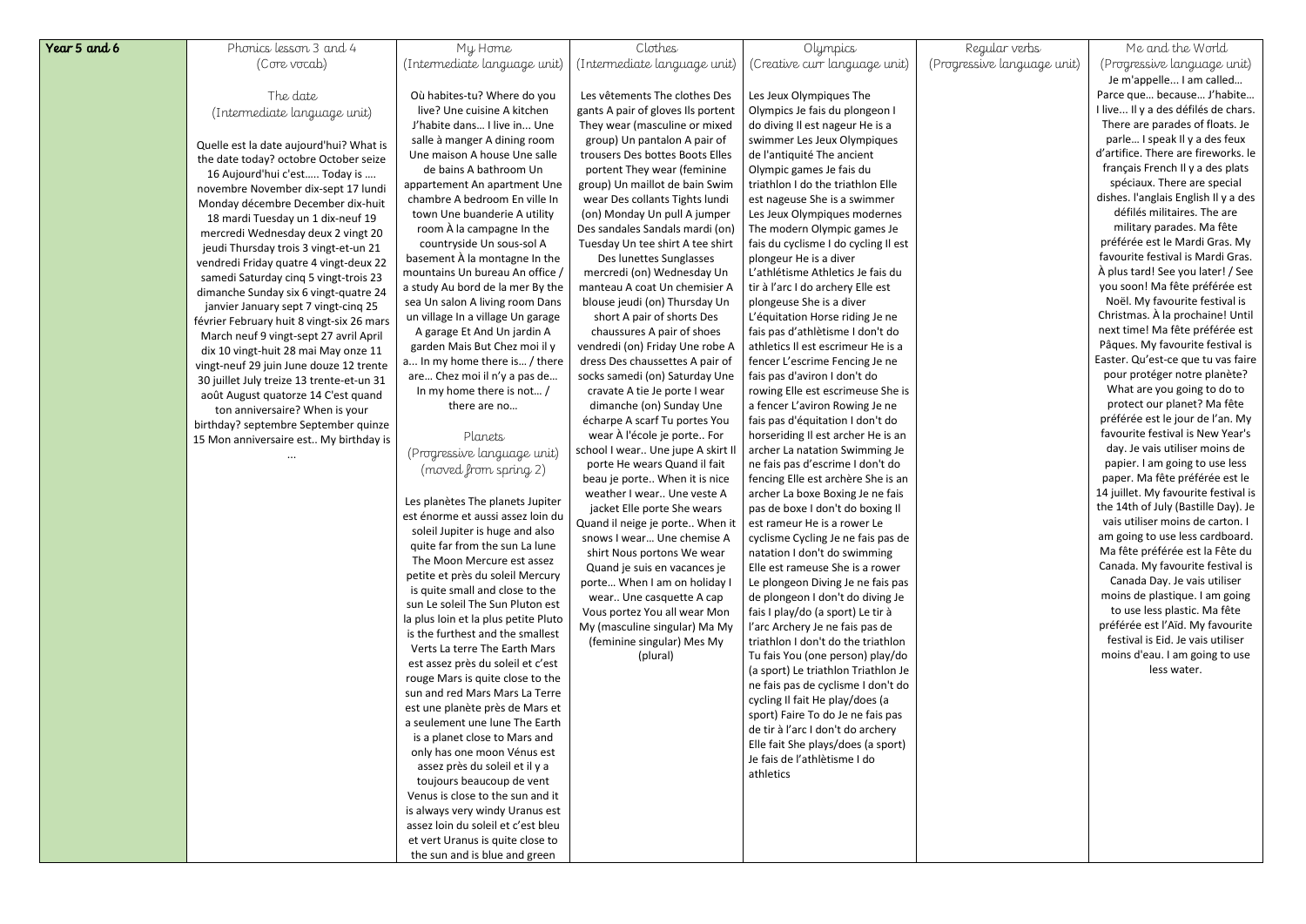| Year 5 and 6 | Phonics lesson 3 and 4                    | My Home                                                               | Clothes                                                            | Olympics                                                               |          |
|--------------|-------------------------------------------|-----------------------------------------------------------------------|--------------------------------------------------------------------|------------------------------------------------------------------------|----------|
|              | (Core vocab)                              | (Intermediate language unit)                                          | (Intermediate language unit)                                       | (Creative curr language unit)                                          | (Progres |
|              | The date                                  | Où habites-tu? Where do you                                           | Les vêtements The clothes Des                                      | Les Jeux Olympiques The                                                |          |
|              | (Intermediate language unit)              | live? Une cuisine A kitchen                                           | gants A pair of gloves Ils portent                                 | Olympics Je fais du plongeon I                                         |          |
|              |                                           | J'habite dans I live in Une                                           | They wear (masculine or mixed                                      | do diving Il est nageur He is a                                        |          |
|              | Quelle est la date aujourd'hui? What is   | salle à manger A dining room                                          | group) Un pantalon A pair of                                       | swimmer Les Jeux Olympiques                                            |          |
|              | the date today? octobre October seize     | Une maison A house Une salle                                          | trousers Des bottes Boots Elles                                    | de l'antiquité The ancient                                             |          |
|              | 16 Aujourd'hui c'est Today is             | de bains A bathroom Un                                                | portent They wear (feminine                                        | Olympic games Je fais du                                               |          |
|              | novembre November dix-sept 17 lundi       | appartement An apartment Une                                          | group) Un maillot de bain Swim                                     | triathlon I do the triathlon Elle                                      |          |
|              | Monday décembre December dix-huit         | chambre A bedroom En ville In                                         | wear Des collants Tights lundi                                     | est nageuse She is a swimmer                                           |          |
|              | 18 mardi Tuesday un 1 dix-neuf 19         | town Une buanderie A utility                                          | (on) Monday Un pull A jumper                                       | Les Jeux Olympiques modernes                                           |          |
|              | mercredi Wednesday deux 2 vingt 20        | room À la campagne In the                                             | Des sandales Sandals mardi (on)                                    | The modern Olympic games Je                                            |          |
|              | jeudi Thursday trois 3 vingt-et-un 21     | countryside Un sous-sol A                                             | Tuesday Un tee shirt A tee shirt                                   | fais du cyclisme I do cycling Il est                                   |          |
|              | vendredi Friday quatre 4 vingt-deux 22    | basement A la montagne In the                                         | Des lunettes Sunglasses                                            | plongeur He is a diver                                                 |          |
|              | samedi Saturday cinq 5 vingt-trois 23     | mountains Un bureau An office /                                       | mercredi (on) Wednesday Un                                         | L'athlétisme Athletics Je fais du                                      |          |
|              | dimanche Sunday six 6 vingt-quatre 24     | a study Au bord de la mer By the                                      | manteau A coat Un chemisier A                                      | tir à l'arc I do archery Elle est                                      |          |
|              | janvier January sept 7 vingt-cinq 25      | sea Un salon A living room Dans                                       | blouse jeudi (on) Thursday Un                                      | plongeuse She is a diver                                               |          |
|              | février February huit 8 vingt-six 26 mars | un village In a village Un garage                                     | short A pair of shorts Des                                         | L'équitation Horse riding Je ne                                        |          |
|              | March neuf 9 vingt-sept 27 avril April    | A garage Et And Un jardin A<br>garden Mais But Chez moi il y          | chaussures A pair of shoes                                         | fais pas d'athlètisme I don't do<br>athletics Il est escrimeur He is a |          |
|              | dix 10 vingt-huit 28 mai May onze 11      | a In my home there is / there                                         | vendredi (on) Friday Une robe A<br>dress Des chaussettes A pair of | fencer L'escrime Fencing Je ne                                         |          |
|              | vingt-neuf 29 juin June douze 12 trente   | are Chez moi il n'y a pas de                                          | socks samedi (on) Saturday Une                                     | fais pas d'aviron I don't do                                           |          |
|              | 30 juillet July treize 13 trente-et-un 31 | In my home there is not /                                             | cravate A tie Je porte I wear                                      | rowing Elle est escrimeuse She is                                      |          |
|              | août August quatorze 14 C'est quand       | there are no                                                          | dimanche (on) Sunday Une                                           | a fencer L'aviron Rowing Je ne                                         |          |
|              | ton anniversaire? When is your            |                                                                       | écharpe A scarf Tu portes You                                      | fais pas d'équitation I don't do                                       |          |
|              | birthday? septembre September quinze      | Planets                                                               | wear À l'école je porte For                                        | horseriding Il est archer He is an                                     |          |
|              | 15 Mon anniversaire est My birthday is    | (Progressive language unit)                                           | school I wear Une jupe A skirt II                                  | archer La natation Swimming Je                                         |          |
|              |                                           |                                                                       | porte He wears Quand il fait                                       | ne fais pas d'escrime I don't do                                       |          |
|              |                                           | (moved from spring 2)                                                 | beau je porte When it is nice                                      | fencing Elle est archère She is an                                     |          |
|              |                                           |                                                                       | weather I wear Une veste A                                         | archer La boxe Boxing Je ne fais                                       |          |
|              |                                           | Les planètes The planets Jupiter<br>est énorme et aussi assez loin du | jacket Elle porte She wears                                        | pas de boxe I don't do boxing Il                                       |          |
|              |                                           | soleil Jupiter is huge and also                                       | Quand il neige je porte When it                                    | est rameur He is a rower Le                                            |          |
|              |                                           | quite far from the sun La lune                                        | snows I wear Une chemise A                                         | cyclisme Cycling Je ne fais pas de                                     |          |
|              |                                           | The Moon Mercure est assez                                            | shirt Nous portons We wear                                         | natation I don't do swimming                                           |          |
|              |                                           | petite et près du soleil Mercury                                      | Quand je suis en vacances je                                       | Elle est rameuse She is a rower                                        |          |
|              |                                           | is quite small and close to the                                       | porte When I am on holiday I                                       | Le plongeon Diving Je ne fais pas                                      |          |
|              |                                           | sun Le soleil The Sun Pluton est                                      | wear Une casquette A cap                                           | de plongeon I don't do diving Je                                       |          |
|              |                                           | la plus loin et la plus petite Pluto                                  | Vous portez You all wear Mon<br>My (masculine singular) Ma My      | fais I play/do (a sport) Le tir à<br>l'arc Archery Je ne fais pas de   |          |
|              |                                           | is the furthest and the smallest                                      | (feminine singular) Mes My                                         | triathlon I don't do the triathlon                                     |          |
|              |                                           | Verts La terre The Earth Mars                                         | (plural)                                                           | Tu fais You (one person) play/do                                       |          |
|              |                                           | est assez près du soleil et c'est                                     |                                                                    | (a sport) Le triathlon Triathlon Je                                    |          |
|              |                                           | rouge Mars is quite close to the                                      |                                                                    | ne fais pas de cyclisme I don't do                                     |          |
|              |                                           | sun and red Mars Mars La Terre                                        |                                                                    | cycling Il fait He play/does (a                                        |          |
|              |                                           | est une planète près de Mars et                                       |                                                                    | sport) Faire To do Je ne fais pas                                      |          |
|              |                                           | a seulement une lune The Earth                                        |                                                                    | de tir à l'arc I don't do archery                                      |          |
|              |                                           | is a planet close to Mars and                                         |                                                                    | Elle fait She plays/does (a sport)                                     |          |
|              |                                           | only has one moon Vénus est                                           |                                                                    | Je fais de l'athlètisme I do                                           |          |
|              |                                           | assez près du soleil et il y a<br>toujours beaucoup de vent           |                                                                    | athletics                                                              |          |
|              |                                           | Venus is close to the sun and it                                      |                                                                    |                                                                        |          |
|              |                                           | is always very windy Uranus est                                       |                                                                    |                                                                        |          |
|              |                                           | assez loin du soleil et c'est bleu                                    |                                                                    |                                                                        |          |
|              |                                           | et vert Uranus is quite close to                                      |                                                                    |                                                                        |          |
|              |                                           | the sun and is blue and green                                         |                                                                    |                                                                        |          |

| Regular verbs               | Me and the World                                                        |
|-----------------------------|-------------------------------------------------------------------------|
| (Progressive language unit) | (Progressive language unit)                                             |
|                             | Je m'appelle I am called                                                |
|                             | Parce que because J'habite                                              |
|                             | I live Il y a des défilés de chars.                                     |
|                             | There are parades of floats. Je                                         |
|                             | parle I speak II y a des feux                                           |
|                             | d'artifice. There are fireworks. le                                     |
|                             | français French II y a des plats                                        |
|                             | spéciaux. There are special                                             |
|                             | dishes. l'anglais English II y a des                                    |
|                             | défilés militaires. The are                                             |
|                             | military parades. Ma fête                                               |
|                             | préférée est le Mardi Gras. My                                          |
|                             | favourite festival is Mardi Gras.                                       |
|                             | À plus tard! See you later! / See                                       |
|                             | you soon! Ma fête préférée est                                          |
|                             | Noël. My favourite festival is                                          |
|                             | Christmas. À la prochaine! Until                                        |
|                             | next time! Ma fête préférée est                                         |
|                             | Pâques. My favourite festival is                                        |
|                             | Easter. Qu'est-ce que tu vas faire                                      |
|                             | pour protéger notre planète?                                            |
|                             | What are you going to do to                                             |
|                             | protect our planet? Ma fête                                             |
|                             | préférée est le jour de l'an. My                                        |
|                             | favourite festival is New Year's                                        |
|                             | day. Je vais utiliser moins de                                          |
|                             | papier. I am going to use less                                          |
|                             | paper. Ma fête préférée est le                                          |
|                             | 14 juillet. My favourite festival is                                    |
|                             | the 14th of July (Bastille Day). Je<br>vais utiliser moins de carton. I |
|                             |                                                                         |
|                             | am going to use less cardboard.                                         |
|                             | Ma fête préférée est la Fête du                                         |
|                             | Canada. My favourite festival is<br>Canada Day. Je vais utiliser        |
|                             | moins de plastique. I am going                                          |
|                             | to use less plastic. Ma fête                                            |
|                             | préférée est l'Aïd. My favourite                                        |
|                             | festival is Eid. Je vais utiliser                                       |
|                             | moins d'eau. I am going to use                                          |
|                             | less water.                                                             |
|                             |                                                                         |
|                             |                                                                         |
|                             |                                                                         |
|                             |                                                                         |
|                             |                                                                         |
|                             |                                                                         |
|                             |                                                                         |
|                             |                                                                         |
|                             |                                                                         |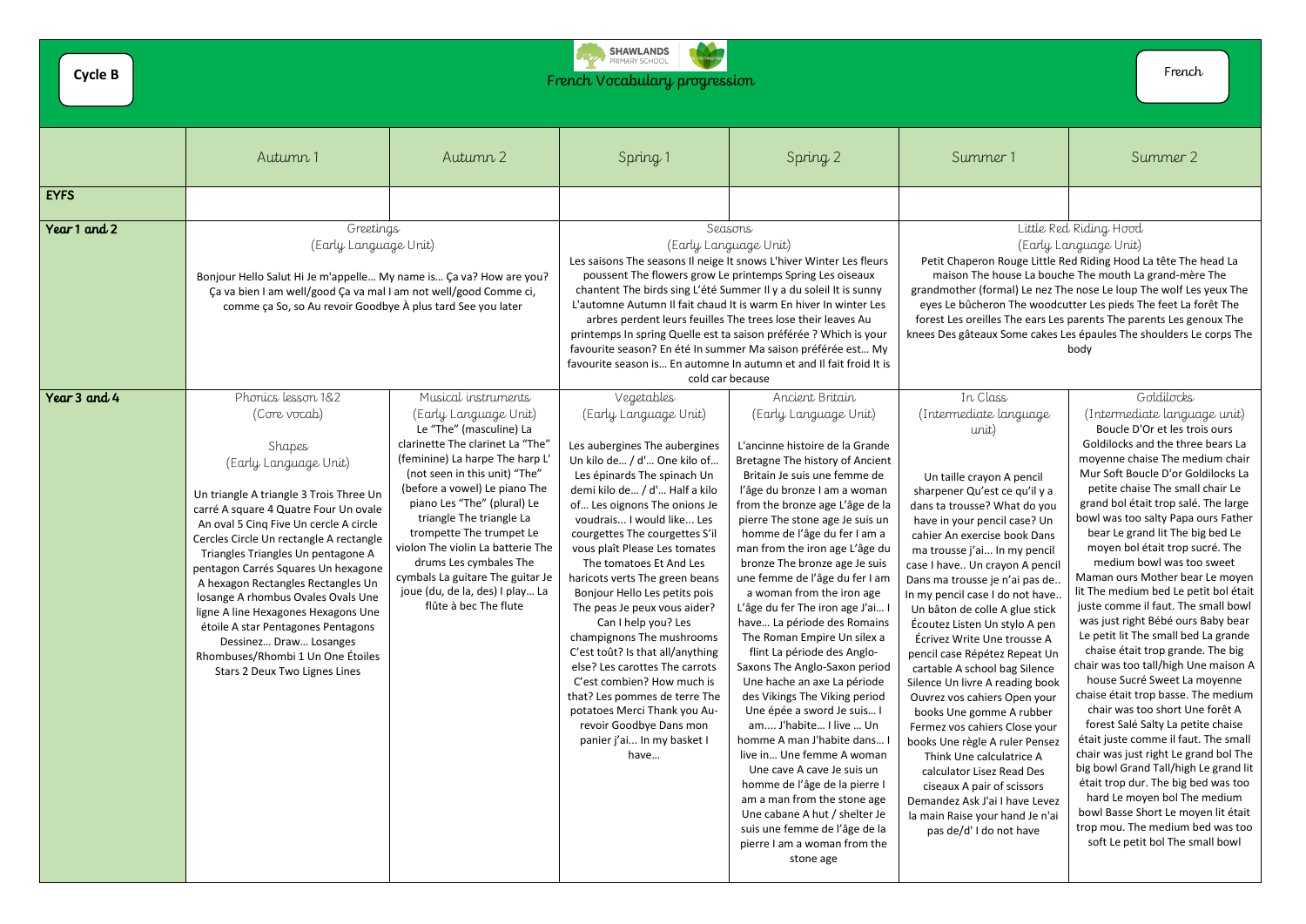### tle Red Riding Hood (Early Language Unit)

ittle Red Riding Hood La tête The head La bouche The mouth La grand-mère The nez The nose Le loup The wolf Les yeux The voodcutter Les pieds The feet La forêt The ars Les parents The parents Les genoux The cakes Les épaules The shoulders Le corps The body

#### **Goldilocks**

|              | Autumn 1                                                                                                                                                                                                                                                                                                                                                                                                                                                                                                                                                                             | Autumn 2                                                                                                                                                                                                                                                                                                                                                                                                                                                               | Spring 1                                                                                                                                                                                                                                                                                                                                                                                                                                                                                                                                                                                                                                                                                                                    | Spring 2                                                                                                                                                                                                                                                                                                                                                                                                                                                                                                                                                                                                                                                                                                                                                                                                                                                                                                                                                                              | Summer 1                                                                                                                                                                                                                                                                                                                                                                                                                                                                                                                                                                                                                                                                                                                                                                                                                                                                      | Summer 2                                                                                                                                                                                                                                                                                                                                                                                                                                                                                                                                                                                                                                                                                                                                                                                                                                              |
|--------------|--------------------------------------------------------------------------------------------------------------------------------------------------------------------------------------------------------------------------------------------------------------------------------------------------------------------------------------------------------------------------------------------------------------------------------------------------------------------------------------------------------------------------------------------------------------------------------------|------------------------------------------------------------------------------------------------------------------------------------------------------------------------------------------------------------------------------------------------------------------------------------------------------------------------------------------------------------------------------------------------------------------------------------------------------------------------|-----------------------------------------------------------------------------------------------------------------------------------------------------------------------------------------------------------------------------------------------------------------------------------------------------------------------------------------------------------------------------------------------------------------------------------------------------------------------------------------------------------------------------------------------------------------------------------------------------------------------------------------------------------------------------------------------------------------------------|---------------------------------------------------------------------------------------------------------------------------------------------------------------------------------------------------------------------------------------------------------------------------------------------------------------------------------------------------------------------------------------------------------------------------------------------------------------------------------------------------------------------------------------------------------------------------------------------------------------------------------------------------------------------------------------------------------------------------------------------------------------------------------------------------------------------------------------------------------------------------------------------------------------------------------------------------------------------------------------|-------------------------------------------------------------------------------------------------------------------------------------------------------------------------------------------------------------------------------------------------------------------------------------------------------------------------------------------------------------------------------------------------------------------------------------------------------------------------------------------------------------------------------------------------------------------------------------------------------------------------------------------------------------------------------------------------------------------------------------------------------------------------------------------------------------------------------------------------------------------------------|-------------------------------------------------------------------------------------------------------------------------------------------------------------------------------------------------------------------------------------------------------------------------------------------------------------------------------------------------------------------------------------------------------------------------------------------------------------------------------------------------------------------------------------------------------------------------------------------------------------------------------------------------------------------------------------------------------------------------------------------------------------------------------------------------------------------------------------------------------|
| <b>EYFS</b>  |                                                                                                                                                                                                                                                                                                                                                                                                                                                                                                                                                                                      |                                                                                                                                                                                                                                                                                                                                                                                                                                                                        |                                                                                                                                                                                                                                                                                                                                                                                                                                                                                                                                                                                                                                                                                                                             |                                                                                                                                                                                                                                                                                                                                                                                                                                                                                                                                                                                                                                                                                                                                                                                                                                                                                                                                                                                       |                                                                                                                                                                                                                                                                                                                                                                                                                                                                                                                                                                                                                                                                                                                                                                                                                                                                               |                                                                                                                                                                                                                                                                                                                                                                                                                                                                                                                                                                                                                                                                                                                                                                                                                                                       |
| Year 1 and 2 | Greetings<br>(Early Language Unit)<br>Bonjour Hello Salut Hi Je m'appelle My name is Ça va? How are you?<br>Ça va bien I am well/good Ça va mal I am not well/good Comme ci,<br>comme ça So, so Au revoir Goodbye À plus tard See you later                                                                                                                                                                                                                                                                                                                                          |                                                                                                                                                                                                                                                                                                                                                                                                                                                                        | Seasons<br>(Early Language Unit)<br>Les saisons The seasons Il neige It snows L'hiver Winter Les fleurs<br>poussent The flowers grow Le printemps Spring Les oiseaux<br>chantent The birds sing L'été Summer II y a du soleil It is sunny<br>L'automne Autumn II fait chaud It is warm En hiver In winter Les<br>arbres perdent leurs feuilles The trees lose their leaves Au<br>printemps In spring Quelle est ta saison préférée ? Which is your<br>favourite season? En été In summer Ma saison préférée est My<br>favourite season is En automne In autumn et and Il fait froid It is<br>cold car because                                                                                                               |                                                                                                                                                                                                                                                                                                                                                                                                                                                                                                                                                                                                                                                                                                                                                                                                                                                                                                                                                                                       | Little Red Riding Hood<br>(Early Language Unit)<br>Petit Chaperon Rouge Little Red Riding Hood La tête The<br>maison The house La bouche The mouth La grand-mèi<br>grandmother (formal) Le nez The nose Le loup The wolf Le<br>eyes Le bûcheron The woodcutter Les pieds The feet La f<br>forest Les oreilles The ears Les parents The parents Les ge<br>knees Des gâteaux Some cakes Les épaules The shoulders L<br>body                                                                                                                                                                                                                                                                                                                                                                                                                                                     |                                                                                                                                                                                                                                                                                                                                                                                                                                                                                                                                                                                                                                                                                                                                                                                                                                                       |
| Year 3 and 4 | Phonics lesson 1&2<br>(Core vocab)<br>Shapes<br>(Early Language Unit)<br>Un triangle A triangle 3 Trois Three Un<br>carré A square 4 Quatre Four Un ovale<br>An oval 5 Cinq Five Un cercle A circle<br>Cercles Circle Un rectangle A rectangle<br>Triangles Triangles Un pentagone A<br>pentagon Carrés Squares Un hexagone<br>A hexagon Rectangles Rectangles Un<br>Iosange A rhombus Ovales Ovals Une<br>ligne A line Hexagones Hexagons Une<br>étoile A star Pentagones Pentagons<br>Dessinez Draw Losanges<br>Rhombuses/Rhombi 1 Un One Étoiles<br>Stars 2 Deux Two Lignes Lines | Musical instruments<br>(Early Language Unit)<br>Le "The" (masculine) La<br>clarinette The clarinet La "The"<br>(feminine) La harpe The harp L'<br>(not seen in this unit) "The"<br>(before a vowel) Le piano The<br>piano Les "The" (plural) Le<br>triangle The triangle La<br>trompette The trumpet Le<br>violon The violin La batterie The<br>drums Les cymbales The<br>cymbals La guitare The guitar Je<br>joue (du, de la, des) I play La<br>flûte à bec The flute | Vegetables<br>(Early Language Unit)<br>Les aubergines The aubergines<br>Un kilo de / d' One kilo of<br>Les épinards The spinach Un<br>demi kilo de / d' Half a kilo<br>of Les oignons The onions Je<br>voudrais I would like Les<br>courgettes The courgettes S'il<br>vous plaît Please Les tomates<br>The tomatoes Et And Les<br>haricots verts The green beans<br>Bonjour Hello Les petits pois<br>The peas Je peux vous aider?<br>Can I help you? Les<br>champignons The mushrooms<br>C'est toût? Is that all/anything<br>else? Les carottes The carrots<br>C'est combien? How much is<br>that? Les pommes de terre The<br>potatoes Merci Thank you Au-<br>revoir Goodbye Dans mon<br>panier j'ai In my basket I<br>have | Ancient Britain<br>(Early Language Unit)<br>L'ancinne histoire de la Grande<br>Bretagne The history of Ancient<br>Britain Je suis une femme de<br>l'âge du bronze I am a woman<br>from the bronze age L'âge de la<br>pierre The stone age Je suis un<br>homme de l'âge du fer I am a<br>man from the iron age L'âge du<br>bronze The bronze age Je suis<br>une femme de l'âge du fer I am<br>a woman from the iron age<br>L'âge du fer The iron age J'ai<br>have La période des Romains<br>The Roman Empire Un silex a<br>flint La période des Anglo-<br>Saxons The Anglo-Saxon period<br>Une hache an axe La période<br>des Vikings The Viking period<br>Une épée a sword Je suis I<br>am J'habite I live  Un<br>homme A man J'habite dans<br>live in Une femme A woman<br>Une cave A cave Je suis un<br>homme de l'âge de la pierre I<br>am a man from the stone age<br>Une cabane A hut / shelter Je<br>suis une femme de l'âge de la<br>pierre I am a woman from the<br>stone age | In Class<br>(Intermediate language<br>unit)<br>Un taille crayon A pencil<br>sharpener Qu'est ce qu'il y a<br>dans ta trousse? What do you<br>have in your pencil case? Un<br>cahier An exercise book Dans<br>ma trousse j'ai In my pencil<br>case I have Un crayon A pencil<br>Dans ma trousse je n'ai pas de<br>In my pencil case I do not have<br>Un bâton de colle A glue stick<br>Écoutez Listen Un stylo A pen<br>Écrivez Write Une trousse A<br>pencil case Répétez Repeat Un<br>cartable A school bag Silence<br>Silence Un livre A reading book<br>Ouvrez vos cahiers Open your<br>books Une gomme A rubber<br>Fermez vos cahiers Close your<br>books Une règle A ruler Pensez<br>Think Une calculatrice A<br>calculator Lisez Read Des<br>ciseaux A pair of scissors<br>Demandez Ask J'ai I have Levez<br>la main Raise your hand Je n'ai<br>pas de/d' I do not have | Goldilocks<br>(Intermediate langue<br>Boucle D'Or et les tre<br>Goldilocks and the thre<br>moyenne chaise The me<br>Mur Soft Boucle D'or Go<br>petite chaise The smal<br>grand bol était trop salé<br>bowl was too salty Papa<br>bear Le grand lit The b<br>moyen bol était trop s<br>medium bowl was to<br>Maman ours Mother bea<br>lit The medium bed Le pe<br>juste comme il faut. The<br>was just right Bébé ours<br>Le petit lit The small bed<br>chaise était trop grand<br>chair was too tall/high U<br>house Sucré Sweet La<br>chaise était trop basse. T<br>chair was too short Ur<br>forest Salé Salty La pet<br>était juste comme il faut<br>chair was just right Le gra<br>big bowl Grand Tall/high<br>était trop dur. The big b<br>hard Le moyen bol The<br>bowl Basse Short Le mo<br>trop mou. The medium b<br>soft Le petit bol The sr |

| French |
|--------|
|--------|



# French Vocabulary progression **Cycle B** French

(Intermediate language unit) Boucle D'Or et les trois ours Goldilocks and the three bears La moyenne chaise The medium chair Mur Soft Boucle D'or Goldilocks La petite chaise The small chair Le grand bol était trop salé. The large bowl was too salty Papa ours Father bear Le grand lit The big bed Le moyen bol était trop sucré. The medium bowl was too sweet Maman ours Mother bear Le moyen lit The medium bed Le petit bol était juste comme il faut. The small bowl was just right Bébé ours Baby bear Le petit lit The small bed La grande chaise était trop grande. The big chair was too tall/high Une maison A house Sucré Sweet La moyenne chaise était trop basse. The medium chair was too short Une forêt A forest Salé Salty La petite chaise était juste comme il faut. The small chair was just right Le grand bol The big bowl Grand Tall/high Le grand lit était trop dur. The big bed was too hard Le moyen bol The medium bowl Basse Short Le moyen lit était trop mou. The medium bed was too soft Le petit bol The small bowl